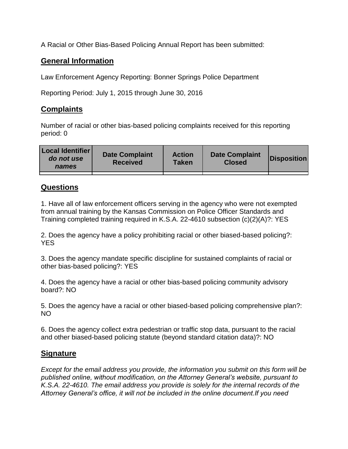A Racial or Other Bias-Based Policing Annual Report has been submitted:

## **General Information**

Law Enforcement Agency Reporting: Bonner Springs Police Department

Reporting Period: July 1, 2015 through June 30, 2016

## **Complaints**

Number of racial or other bias-based policing complaints received for this reporting period: 0

| <b>Local Identifier</b><br>do not use<br>names | <b>Date Complaint</b><br><b>Received</b> | <b>Action</b><br><b>Taken</b> | <b>Date Complaint</b><br><b>Closed</b> | Disposition |
|------------------------------------------------|------------------------------------------|-------------------------------|----------------------------------------|-------------|
|                                                |                                          |                               |                                        |             |

## **Questions**

1. Have all of law enforcement officers serving in the agency who were not exempted from annual training by the Kansas Commission on Police Officer Standards and Training completed training required in K.S.A. 22-4610 subsection (c)(2)(A)?: YES

2. Does the agency have a policy prohibiting racial or other biased-based policing?: YES

3. Does the agency mandate specific discipline for sustained complaints of racial or other bias-based policing?: YES

4. Does the agency have a racial or other bias-based policing community advisory board?: NO

5. Does the agency have a racial or other biased-based policing comprehensive plan?: NO

6. Does the agency collect extra pedestrian or traffic stop data, pursuant to the racial and other biased-based policing statute (beyond standard citation data)?: NO

## **Signature**

*Except for the email address you provide, the information you submit on this form will be published online, without modification, on the Attorney General's website, pursuant to K.S.A. 22-4610. The email address you provide is solely for the internal records of the Attorney General's office, it will not be included in the online document.If you need*